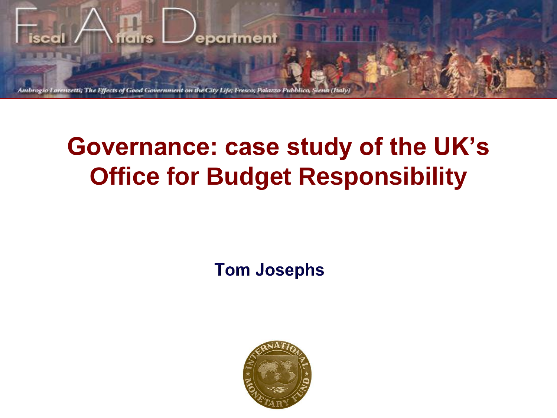

# **Governance: case study of the UK's Office for Budget Responsibility**

**Tom Josephs** 

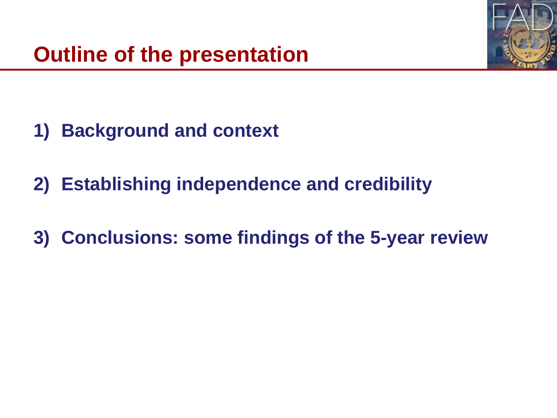

- **1) Background and context**
- **2) Establishing independence and credibility**
- **3) Conclusions: some findings of the 5-year review**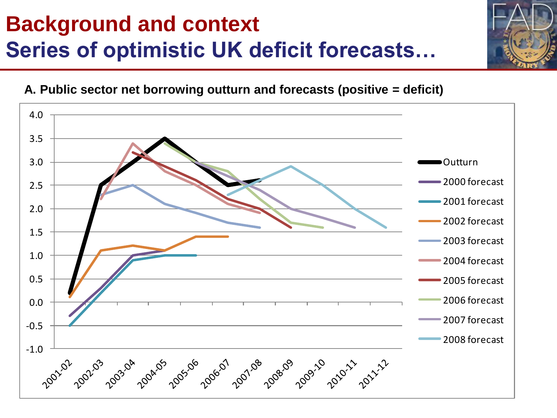# **Background and context Series of optimistic UK deficit forecasts…**



**A. Public sector net borrowing outturn and forecasts (positive = deficit)** 

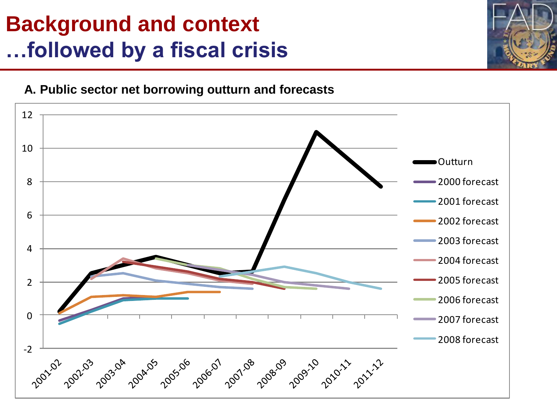#### **Background and context …followed by a fiscal crisis**



#### **A. Public sector net borrowing outturn and forecasts**

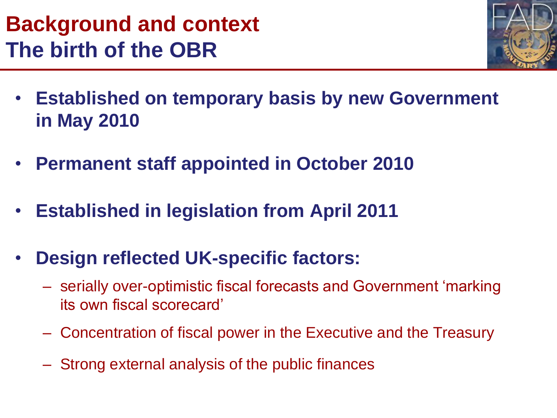#### **Background and context The birth of the OBR**



- **Established on temporary basis by new Government in May 2010**
- **Permanent staff appointed in October 2010**
- **Established in legislation from April 2011**
- **Design reflected UK-specific factors:**
	- serially over-optimistic fiscal forecasts and Government 'marking its own fiscal scorecard'
	- Concentration of fiscal power in the Executive and the Treasury
	- Strong external analysis of the public finances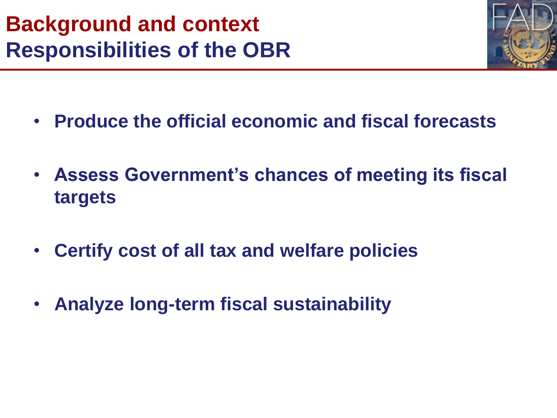

- **Produce the official economic and fiscal forecasts**
- **Assess Government's chances of meeting its fiscal targets**
- **Certify cost of all tax and welfare policies**
- **Analyze long-term fiscal sustainability**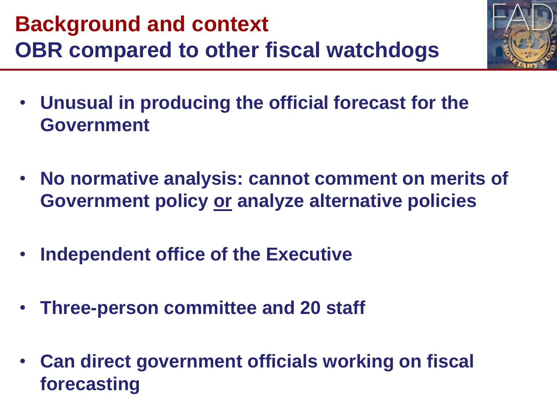

- **Unusual in producing the official forecast for the Government**
- **No normative analysis: cannot comment on merits of Government policy or analyze alternative policies**
- **Independent office of the Executive**
- **Three-person committee and 20 staff**
- **Can direct government officials working on fiscal forecasting**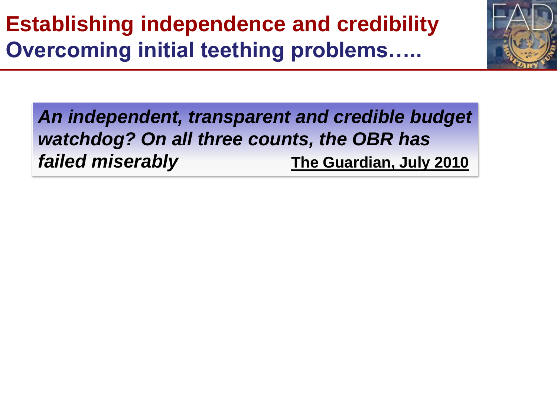# **Establishing independence and credibility Overcoming initial teething problems…..**



*An independent, transparent and credible budget watchdog? On all three counts, the OBR has failed miserably* **The Guardian, July 2010**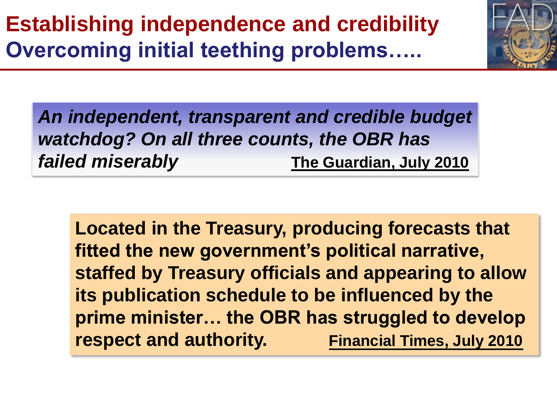

*An independent, transparent and credible budget watchdog? On all three counts, the OBR has failed miserably* **The Guardian, July 2010**

**Located in the Treasury, producing forecasts that fitted the new government's political narrative, staffed by Treasury officials and appearing to allow its publication schedule to be influenced by the prime minister… the OBR has struggled to develop respect and authority.** Financial Times, July 2010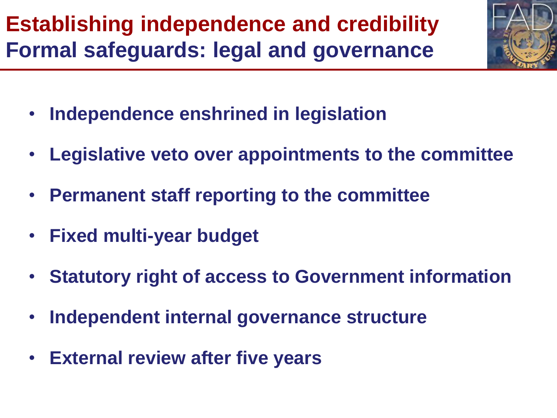**Establishing independence and credibility Formal safeguards: legal and governance**

- **Independence enshrined in legislation**
- **Legislative veto over appointments to the committee**
- **Permanent staff reporting to the committee**
- **Fixed multi-year budget**
- **Statutory right of access to Government information**
- **Independent internal governance structure**
- **External review after five years**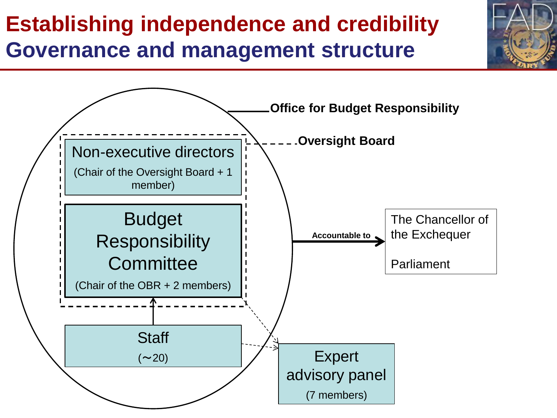### **Establishing independence and credibility Governance and management structure**

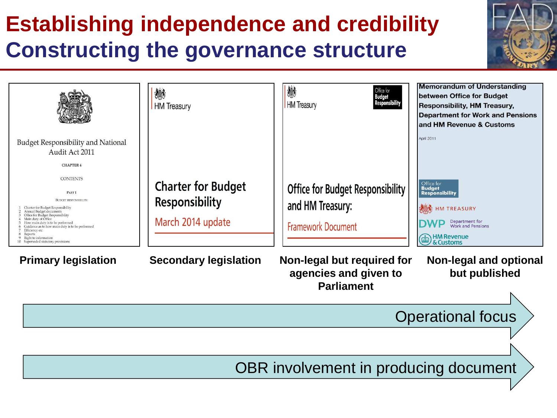# **Establishing independence and credibility Constructing the governance structure**



OBR involvement in producing document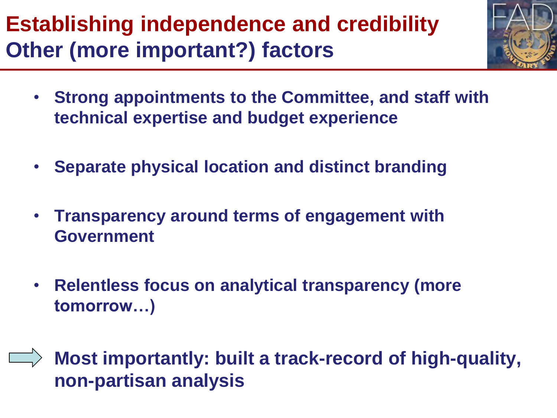# **Establishing independence and credibility Other (more important?) factors**



- **Strong appointments to the Committee, and staff with technical expertise and budget experience**
- **Separate physical location and distinct branding**
- **Transparency around terms of engagement with Government**
- **Relentless focus on analytical transparency (more tomorrow…)**
- **Most importantly: built a track-record of high-quality, non-partisan analysis**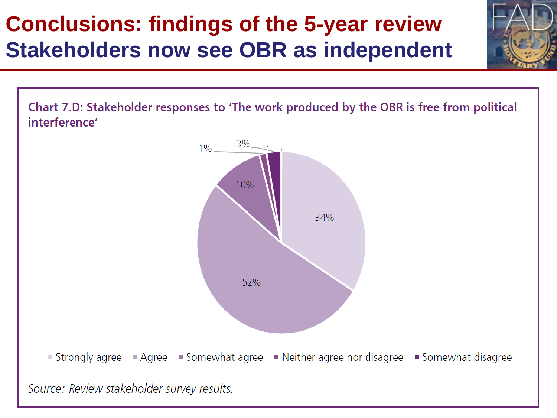# **Conclusions: findings of the 5-year review Stakeholders now see OBR as independent**

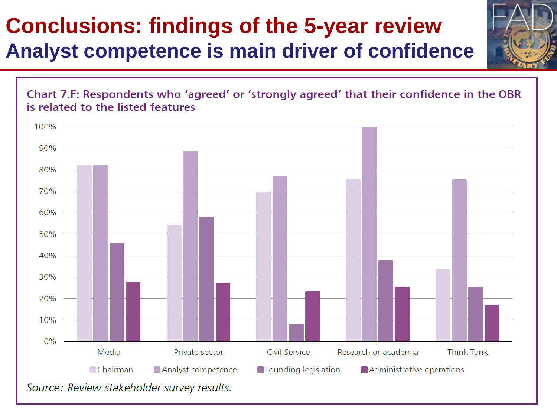#### **Conclusions: findings of the 5-year review Analyst competence is main driver of confidence**



**15**